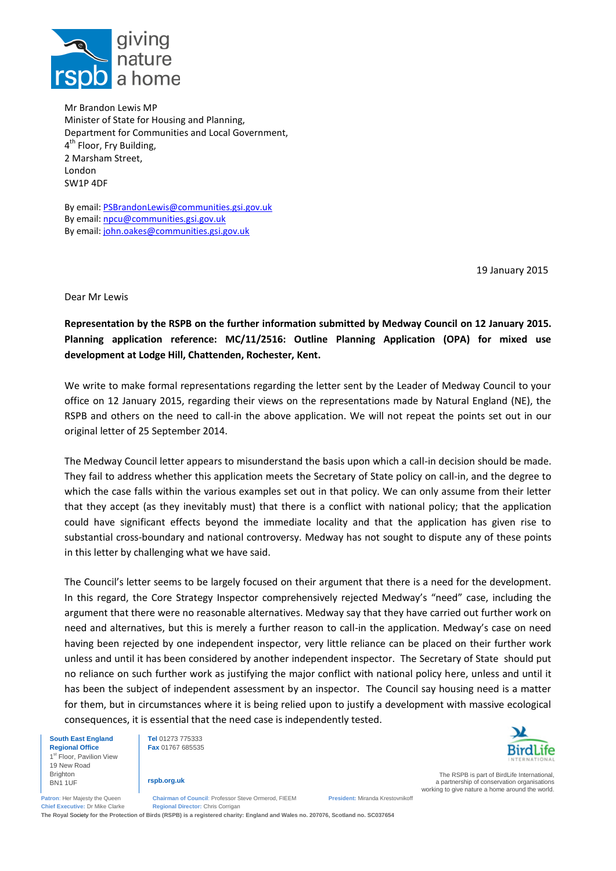

Mr Brandon Lewis MP Minister of State for Housing and Planning, Department for Communities and Local Government, 4<sup>th</sup> Floor, Fry Building, 2 Marsham Street, London SW1P 4DF

By email: [PSBrandonLewis@communities.gsi.gov.uk](mailto:PSBrandonLewis@communities.gsi.gov.uk) By email: [npcu@communities.gsi.gov.uk](mailto:npcu@communities.gsi.gov.uk) By email: [john.oakes@communities.gsi.gov.uk](mailto:john.oakes@communities.gsi.gov.uk)

19 January 2015

Dear Mr Lewis

**Representation by the RSPB on the further information submitted by Medway Council on 12 January 2015. Planning application reference: MC/11/2516: Outline Planning Application (OPA) for mixed use development at Lodge Hill, Chattenden, Rochester, Kent.** 

We write to make formal representations regarding the letter sent by the Leader of Medway Council to your office on 12 January 2015, regarding their views on the representations made by Natural England (NE), the RSPB and others on the need to call-in the above application. We will not repeat the points set out in our original letter of 25 September 2014.

The Medway Council letter appears to misunderstand the basis upon which a call-in decision should be made. They fail to address whether this application meets the Secretary of State policy on call-in, and the degree to which the case falls within the various examples set out in that policy. We can only assume from their letter that they accept (as they inevitably must) that there is a conflict with national policy; that the application could have significant effects beyond the immediate locality and that the application has given rise to substantial cross-boundary and national controversy. Medway has not sought to dispute any of these points in this letter by challenging what we have said.

The Council's letter seems to be largely focused on their argument that there is a need for the development. In this regard, the Core Strategy Inspector comprehensively rejected Medway's "need" case, including the argument that there were no reasonable alternatives. Medway say that they have carried out further work on need and alternatives, but this is merely a further reason to call-in the application. Medway's case on need having been rejected by one independent inspector, very little reliance can be placed on their further work unless and until it has been considered by another independent inspector. The Secretary of State should put no reliance on such further work as justifying the major conflict with national policy here, unless and until it has been the subject of independent assessment by an inspector. The Council say housing need is a matter for them, but in circumstances where it is being relied upon to justify a development with massive ecological consequences, it is essential that the need case is independently tested.

**South East England Regional Office**

1st Floor, Pavilion View 19 New Road Brighton BN1 1UF

**Tel** 01273 775333 **Fax** 01767 685535

**rspb.org.uk**



The RSPB is part of BirdLife International, a partnership of conservation organisations working to give nature a home around the world.

**Patron**: Her Majesty the Queen **Chairman of Council**: Professor Steve Ormerod, FIEEM **President:** Miranda Krestovnikoff **Chief Executive:** Dr Mike Clarke **Regional Director:** Chris Corrigan

**The Royal** Society **for the Protection of Birds (RSPB) is a registered charity: England and Wales no. 207076, Scotland no. SC037654**